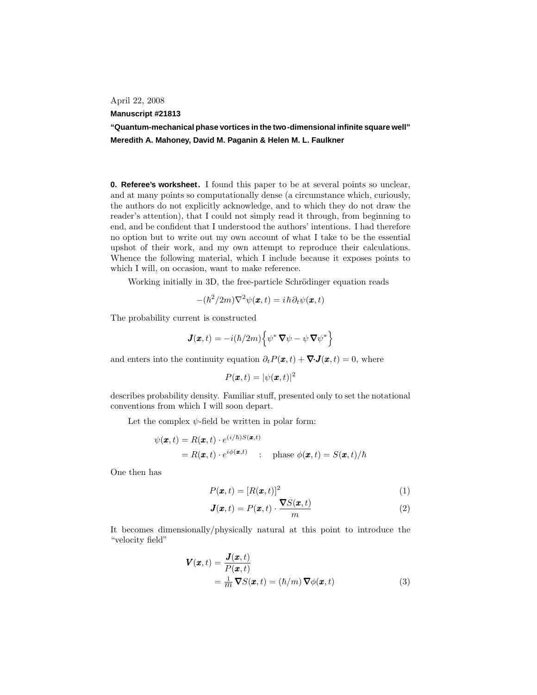April 22, 2008

## **Manuscript #21813**

**"Quantum-mechanical phase vortices in the two-dimensional infinite square well" Meredith A. Mahoney, David M. Paganin & Helen M. L. Faulkner**

**0. Referee's worksheet.** I found this paper to be at several points so unclear, and at many points so computationally dense (a circumstance which, curiously, the authors do not explicitly acknowledge, and to which they do not draw the reader's attention), that I could not simply read it through, from beginning to end, and be confident that I understood the authors'intentions. I had therefore no option but to write out my own account of what I take to be the essential upshot of their work, and my own attempt to reproduce their calculations. Whence the following material, which I include because it exposes points to which I will, on occasion, want to make reference.

Working initially in 3D, the free-particle Schrödinger equation reads

$$
-(\hbar^2/2m)\nabla^2\psi(\pmb{x},t)=i\,\hbar\partial_t\psi(\pmb{x},t)
$$

The probability current is constructed

$$
\mathbf{J}(\mathbf{x},t) = -i(\hbar/2m)\left\{\psi^*\,\nabla\psi - \psi\,\nabla\psi^*\right\}
$$

and enters into the continuity equation  $\partial_t P(\pmb{x}, t) + \nabla \cdot \mathbf{J}(\pmb{x}, t) = 0$ , where

$$
P(\pmb{x},t)=|\psi(\pmb{x},t)|^2
$$

describes probability density. Familiar stuff, presented only to set the notational conventions from which I will soon depart.

Let the complex  $\psi$ -field be written in polar form:

$$
\psi(\mathbf{x},t) = R(\mathbf{x},t) \cdot e^{(i/\hbar)S(\mathbf{x},t)}
$$
  
=  $R(\mathbf{x},t) \cdot e^{i\phi(\mathbf{x},t)}$ : phase  $\phi(\mathbf{x},t) = S(\mathbf{x},t)/\hbar$ 

One then has

$$
P(\boldsymbol{x},t) = [R(\boldsymbol{x},t)]^2
$$
\n(1)

$$
J(x,t) = P(x,t) \cdot \frac{\nabla S(x,t)}{m}
$$
 (2)

It becomes dimensionally/physically natural at this point to introduce the "velocity field"

$$
\mathbf{V}(\mathbf{x},t) = \frac{\mathbf{J}(\mathbf{x},t)}{P(\mathbf{x},t)} \n= \frac{1}{m} \nabla S(\mathbf{x},t) = (\hbar/m) \nabla \phi(\mathbf{x},t)
$$
\n(3)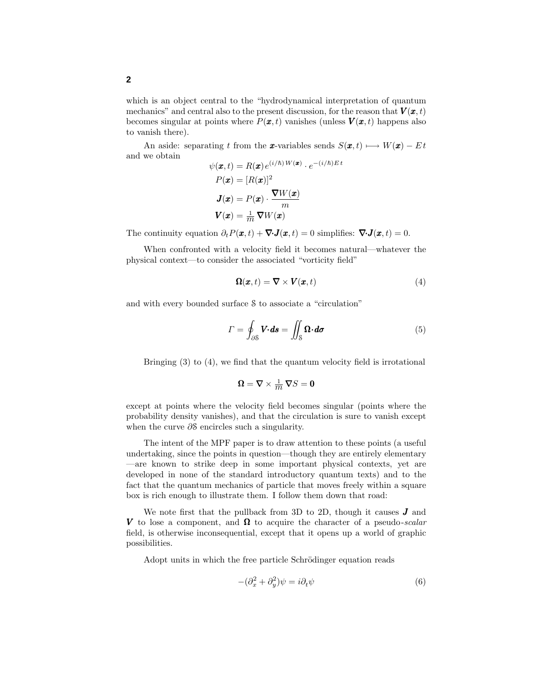which is an object central to the "hydrodynamical interpretation of quantum mechanics" and central also to the present discussion, for the reason that  $V(x, t)$ becomes singular at points where  $P(\boldsymbol{x}, t)$  vanishes (unless  $\boldsymbol{V}(\boldsymbol{x}, t)$  happens also to vanish there).

An aside: separating t from the x-variables sends  $S(\mathbf{x}, t) \longmapsto W(\mathbf{x}) - Et$ and we obtain

$$
\psi(\mathbf{x},t) = R(\mathbf{x}) e^{(i/\hbar)W(\mathbf{x})} \cdot e^{-(i/\hbar)Et}
$$

$$
P(\mathbf{x}) = [R(\mathbf{x})]^2
$$

$$
\mathbf{J}(\mathbf{x}) = P(\mathbf{x}) \cdot \frac{\nabla W(\mathbf{x})}{m}
$$

$$
\mathbf{V}(\mathbf{x}) = \frac{1}{m} \nabla W(\mathbf{x})
$$

The continuity equation  $\partial_t P(\pmb{x}, t) + \nabla \cdot \mathbf{J}(\pmb{x}, t) = 0$  simplifies:  $\nabla \cdot \mathbf{J}(\pmb{x}, t) = 0$ .

When confronted with a velocity field it becomes natural—whatever the physical context—to consider the associated "vorticity field"

$$
\Omega(x,t) = \nabla \times \mathbf{V}(x,t) \tag{4}
$$

and with every bounded surface S to associate a "circulation"

$$
\Gamma = \oint_{\partial S} \mathbf{V} \cdot d\mathbf{s} = \iint_{S} \Omega \cdot d\sigma \tag{5}
$$

Bringing (3) to (4), we find that the quantum velocity field is irrotational

$$
\pmb{\Omega}=\pmb{\nabla}\times\tfrac{1}{m}\,\pmb{\nabla}S=\pmb{0}
$$

except at points where the velocity field becomes singular (points where the probability density vanishes), and that the circulation is sure to vanish except when the curve ∂S encircles such a singularity.

The intent of the MPF paper is to draw attention to these points (a useful undertaking, since the points in question—though they are entirely elementary —are known to strike deep in some important physical contexts, yet are developed in none of the standard introductory quantum texts) and to the fact that the quantum mechanics of particle that moves freely within a square box is rich enough to illustrate them. I follow them down that road:

We note first that the pullback from 3D to 2D, though it causes  $J$  and V to lose a component, and  $\Omega$  to acquire the character of a pseudo-scalar field, is otherwise inconsequential, except that it opens up a world of graphic possibilities.

Adopt units in which the free particle Schrödinger equation reads

$$
-(\partial_x^2 + \partial_y^2)\psi = i\partial_t\psi\tag{6}
$$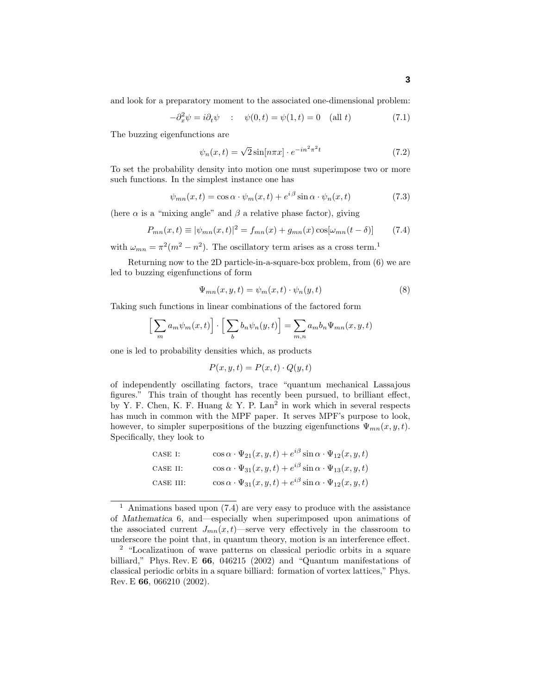and look for a preparatory moment to the associated one-dimensional problem:

$$
-\partial_x^2 \psi = i\partial_t \psi \qquad : \quad \psi(0, t) = \psi(1, t) = 0 \quad \text{(all } t)
$$
\n
$$
(7.1)
$$

The buzzing eigenfunctions are

$$
\psi_n(x,t) = \sqrt{2}\sin[n\pi x] \cdot e^{-in^2\pi^2 t} \tag{7.2}
$$

To set the probability density into motion one must superimpose two or more such functions. In the simplest instance one has

$$
\psi_{mn}(x,t) = \cos \alpha \cdot \psi_m(x,t) + e^{i\beta} \sin \alpha \cdot \psi_n(x,t)
$$
\n(7.3)

(here  $\alpha$  is a "mixing angle" and  $\beta$  a relative phase factor), giving

$$
P_{mn}(x,t) \equiv |\psi_{mn}(x,t)|^2 = f_{mn}(x) + g_{mn}(x)\cos[\omega_{mn}(t-\delta)] \tag{7.4}
$$

with  $\omega_{mn} = \pi^2(m^2 - n^2)$ . The oscillatory term arises as a cross term.<sup>1</sup>

Returning now to the 2D particle-in-a-square-box problem, from (6) we are led to buzzing eigenfunctions of form

$$
\Psi_{mn}(x, y, t) = \psi_m(x, t) \cdot \psi_n(y, t)
$$
\n(8)

Taking such functions in linear combinations of the factored form

$$
\left[\sum_{m} a_m \psi_m(x, t)\right] \cdot \left[\sum_{b} b_n \psi_n(y, t)\right] = \sum_{m,n} a_m b_n \Psi_{mn}(x, y, t)
$$

one is led to probability densities which, as products

$$
P(x, y, t) = P(x, t) \cdot Q(y, t)
$$

of independently oscillating factors, trace "quantum mechanical Lassajous figures." This train of thought has recently been pursued, to brilliant effect, by Y. F. Chen, K. F. Huang  $&$  Y. P. Lan<sup>2</sup> in work which in several respects has much in common with the MPF paper. It serves MPF's purpose to look, however, to simpler superpositions of the buzzing eigenfunctions  $\Psi_{mn}(x, y, t)$ . Specifically, they look to

| CASE I:   | $\cos\alpha \cdot \Psi_{21}(x,y,t) + e^{i\beta} \sin\alpha \cdot \Psi_{12}(x,y,t)$ |
|-----------|------------------------------------------------------------------------------------|
| CASE II:  | $\cos\alpha \cdot \Psi_{31}(x,y,t) + e^{i\beta} \sin\alpha \cdot \Psi_{13}(x,y,t)$ |
| CASE III: | $\cos\alpha \cdot \Psi_{31}(x,y,t) + e^{i\beta} \sin\alpha \cdot \Psi_{12}(x,y,t)$ |

<sup>&</sup>lt;sup>1</sup> Animations based upon  $(7.4)$  are very easy to produce with the assistance of *Mathematica* 6, and—especially when superimposed upon animations of the associated current  $J_{mn}(x,t)$ —serve very effectively in the classroom to underscore the point that, in quantum theory, motion is an interference effect.

<sup>2</sup> "Localizatiuon of wave patterns on classical periodic orbits in a square billiard," Phys. Rev. E **66**, 046215 (2002) and "Quantum manifestations of classical periodic orbits in a square billiard: formation of vortex lattices," Phys. Rev. E **66**, 066210 (2002).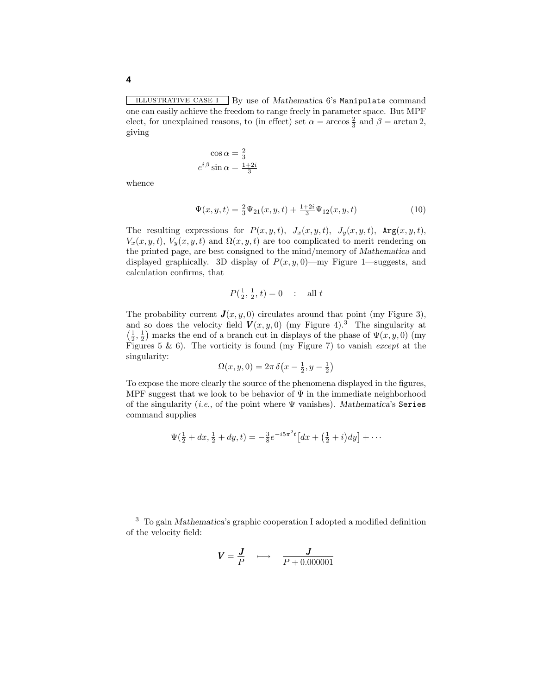illustrative case i By use of *Mathematica* 6's Manipulate command one can easily achieve the freedom to range freely in parameter space. But MPF elect, for unexplained reasons, to (in effect) set  $\alpha = \arccos \frac{2}{3}$  and  $\beta = \arctan 2$ , giving

$$
\cos \alpha = \frac{2}{3}
$$

$$
e^{i\beta} \sin \alpha = \frac{1+2i}{3}
$$

whence

$$
\Psi(x, y, t) = \frac{2}{3}\Psi_{21}(x, y, t) + \frac{1+2i}{3}\Psi_{12}(x, y, t)
$$
\n(10)

The resulting expressions for  $P(x, y, t)$ ,  $J_x(x, y, t)$ ,  $J_y(x, y, t)$ ,  $Arg(x, y, t)$ ,  $V_x(x, y, t)$ ,  $V_y(x, y, t)$  and  $\Omega(x, y, t)$  are too complicated to merit rendering on the printed page, are best consigned to the mind/memory of *Mathematica* and displayed graphically. 3D display of  $P(x, y, 0)$ —my Figure 1—suggests, and calculation confirms, that

$$
P(\frac{1}{2}, \frac{1}{2}, t) = 0
$$
 : all t

The probability current  $\mathbf{J}(x, y, 0)$  circulates around that point (my Figure 3), and so does the velocity field  $V(x, y, 0)$  (my Figure 4).<sup>3</sup> The singularity at  $\left(\frac{1}{2},\frac{1}{2}\right)$  marks the end of a branch cut in displays of the phase of  $\Psi(x,y,0)$  (my Figures 5 & 6). The vorticity is found (my Figure 7) to vanish except at the singularity:

$$
\Omega(x, y, 0) = 2\pi \,\delta\big(x - \frac{1}{2}, y - \frac{1}{2}\big)
$$

To expose the more clearly the source of the phenomena displayed in the figures, MPF suggest that we look to be behavior of  $\Psi$  in the immediate neighborhood of the singularity (i.e., of the point where Ψ vanishes). *Mathematica*'s Series command supplies

$$
\Psi(\frac{1}{2} + dx, \frac{1}{2} + dy, t) = -\frac{3}{8}e^{-i5\pi^2 t} \left[ dx + \left( \frac{1}{2} + i \right) dy \right] + \cdots
$$

$$
\boldsymbol{V} = \frac{\boldsymbol{J}}{P} \quad \longmapsto \quad \frac{\boldsymbol{J}}{P + 0.000001}
$$

<sup>3</sup> To gain *Mathematica*'s graphic cooperation I adopted a modified definition of the velocity field: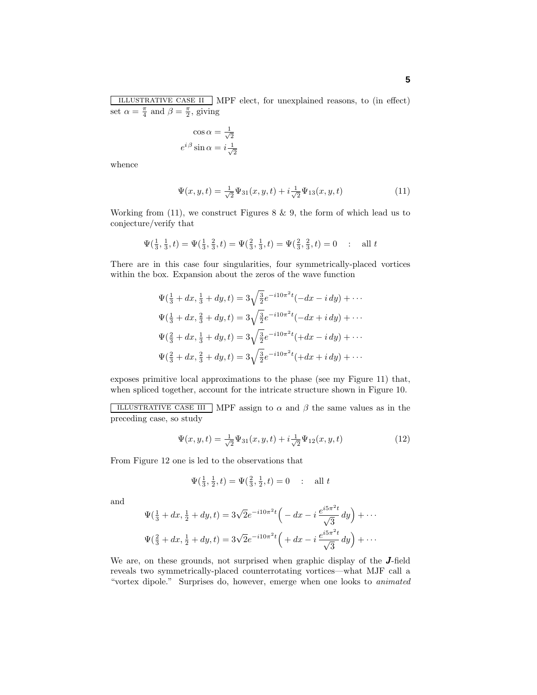illustrative case ii MPF elect, for unexplained reasons, to (in effect) set  $\alpha = \frac{\pi}{4}$  and  $\beta = \frac{\pi}{2}$ , giving

$$
\cos \alpha = \frac{1}{\sqrt{2}}
$$

$$
e^{i\beta} \sin \alpha = i\frac{1}{\sqrt{2}}
$$

whence

$$
\Psi(x, y, t) = \frac{1}{\sqrt{2}} \Psi_{31}(x, y, t) + i \frac{1}{\sqrt{2}} \Psi_{13}(x, y, t)
$$
\n(11)

Working from  $(11)$ , we construct Figures 8 & 9, the form of which lead us to conjecture/verify that

$$
\Psi(\frac{1}{3}, \frac{1}{3}, t) = \Psi(\frac{1}{3}, \frac{2}{3}, t) = \Psi(\frac{2}{3}, \frac{1}{3}, t) = \Psi(\frac{2}{3}, \frac{2}{3}, t) = 0 \quad : \quad \text{all } t
$$

There are in this case four singularities, four symmetrically-placed vortices within the box. Expansion about the zeros of the wave function

$$
\Psi(\frac{1}{3} + dx, \frac{1}{3} + dy, t) = 3\sqrt{\frac{3}{2}}e^{-i10\pi^2 t}(-dx - i dy) + \cdots
$$
  

$$
\Psi(\frac{1}{3} + dx, \frac{2}{3} + dy, t) = 3\sqrt{\frac{3}{2}}e^{-i10\pi^2 t}(-dx + i dy) + \cdots
$$
  

$$
\Psi(\frac{2}{3} + dx, \frac{1}{3} + dy, t) = 3\sqrt{\frac{3}{2}}e^{-i10\pi^2 t}(+dx - i dy) + \cdots
$$
  

$$
\Psi(\frac{2}{3} + dx, \frac{2}{3} + dy, t) = 3\sqrt{\frac{3}{2}}e^{-i10\pi^2 t}(+dx + i dy) + \cdots
$$

exposes primitive local approximations to the phase (see my Figure 11) that, when spliced together, account for the intricate structure shown in Figure 10.

ILLUSTRATIVE CASE III MPF assign to  $\alpha$  and  $\beta$  the same values as in the preceding case, so study

$$
\Psi(x, y, t) = \frac{1}{\sqrt{2}} \Psi_{31}(x, y, t) + i \frac{1}{\sqrt{2}} \Psi_{12}(x, y, t)
$$
\n(12)

From Figure 12 one is led to the observations that

$$
\Psi(\frac{1}{3}, \frac{1}{2}, t) = \Psi(\frac{2}{3}, \frac{1}{2}, t) = 0
$$
 : all t

and

$$
\Psi(\frac{1}{3} + dx, \frac{1}{2} + dy, t) = 3\sqrt{2}e^{-i10\pi^2 t} \left( -dx - i \frac{e^{i5\pi^2 t}}{\sqrt{3}} dy \right) + \cdots
$$
  

$$
\Psi(\frac{2}{3} + dx, \frac{1}{2} + dy, t) = 3\sqrt{2}e^{-i10\pi^2 t} \left( +dx - i \frac{e^{i5\pi^2 t}}{\sqrt{3}} dy \right) + \cdots
$$

We are, on these grounds, not surprised when graphic display of the **J**-field reveals two symmetrically-placed counterrotating vortices—what MJF call a "vortex dipole." Surprises do, however, emerge when one looks to animated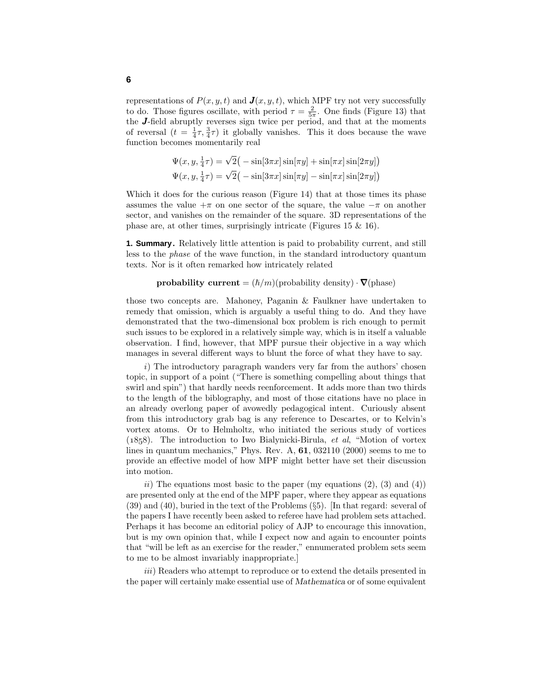representations of  $P(x, y, t)$  and  $\mathbf{J}(x, y, t)$ , which MPF try not very successfully to do. Those figures oscillate, with period  $\tau = \frac{2}{5\pi}$ . One finds (Figure 13) that the J-field abruptly reverses sign twice per period, and that at the moments of reversal  $(t = \frac{1}{4}\tau, \frac{3}{4}\tau)$  it globally vanishes. This it does because the wave function becomes momentarily real

$$
\Psi(x, y, \frac{1}{4}\tau) = \sqrt{2} \left( -\sin[3\pi x] \sin[\pi y] + \sin[\pi x] \sin[2\pi y] \right)
$$
  

$$
\Psi(x, y, \frac{1}{4}\tau) = \sqrt{2} \left( -\sin[3\pi x] \sin[\pi y] - \sin[\pi x] \sin[2\pi y] \right)
$$

Which it does for the curious reason (Figure 14) that at those times its phase assumes the value  $+\pi$  on one sector of the square, the value  $-\pi$  on another sector, and vanishes on the remainder of the square. 3D representations of the phase are, at other times, surprisingly intricate (Figures 15 & 16).

**1. Summary.** Relatively little attention is paid to probability current, and still less to the phase of the wave function, in the standard introductory quantum texts. Nor is it often remarked how intricately related

$$
\textbf{probability current} = (\hbar/m)(\text{probability density}) \cdot \pmb{\nabla}(\text{phase})
$$

those two concepts are. Mahoney, Paganin & Faulkner have undertaken to remedy that omission, which is arguably a useful thing to do. And they have demonstrated that the two-dimensional box problem is rich enough to permit such issues to be explored in a relatively simple way, which is in itself a valuable observation. I find, however, that MPF pursue their objective in a way which manages in several different ways to blunt the force of what they have to say.

i) The introductory paragraph wanders very far from the authors' chosen topic, in support of a point ("There is something compelling about things that swirl and spin") that hardly needs reenforcement. It adds more than two thirds to the length of the biblography, and most of those citations have no place in an already overlong paper of avowedly pedagogical intent. Curiously absent from this introductory grab bag is any reference to Descartes, or to Kelvin's vortex atoms. Or to Helmholtz, who initiated the serious study of vortices  $(1858)$ . The introduction to Iwo Bialynicki-Birula, *et al*, "Motion of vortex lines in quantum mechanics," Phys. Rev. A, **61**, 032110 (2000) seems to me to provide an effective model of how MPF might better have set their discussion into motion.

ii) The equations most basic to the paper (my equations  $(2)$ ,  $(3)$  and  $(4)$ ) are presented only at the end of the MPF paper, where they appear as equations (39) and (40), buried in the text of the Problems (§5). [In that regard: several of the papers I have recently been asked to referee have had problem sets attached. Perhaps it has become an editorial policy of AJP to encourage this innovation, but is my own opinion that, while I expect now and again to encounter points that "will be left as an exercise for the reader," ennumerated problem sets seem to me to be almost invariably inappropriate.]

iii) Readers who attempt to reproduce or to extend the details presented in the paper will certainly make essential use of *Mathematica* or of some equivalent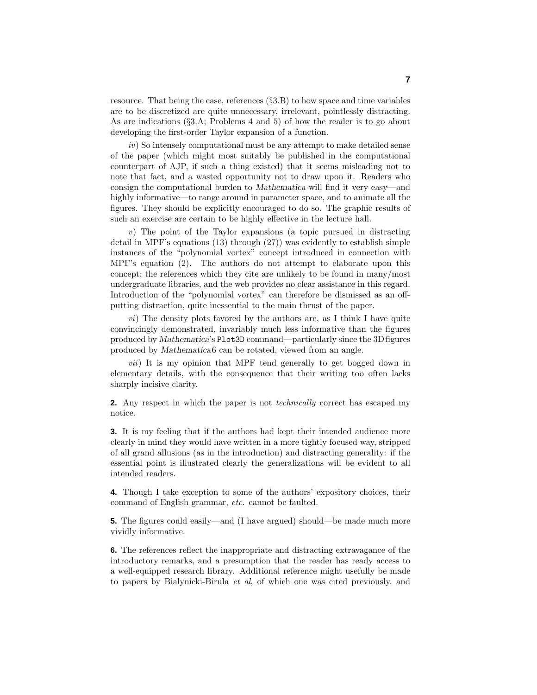resource. That being the case, references (§3.B) to how space and time variables are to be discretized are quite unnecessary, irrelevant, pointlessly distracting. As are indications (§3.A; Problems 4 and 5) of how the reader is to go about developing the first-order Taylor expansion of a function.

iv) So intensely computational must be any attempt to make detailed sense of the paper (which might most suitably be published in the computational counterpart of AJP, if such a thing existed) that it seems misleading not to note that fact, and a wasted opportunity not to draw upon it. Readers who consign the computational burden to *Mathematica* will find it very easy—and highly informative—to range around in parameter space, and to animate all the figures. They should be explicitly encouraged to do so. The graphic results of such an exercise are certain to be highly effective in the lecture hall.

v) The point of the Taylor expansions (a topic pursued in distracting detail in MPF's equations (13) through (27)) was evidently to establish simple instances of the "polynomial vortex" concept introduced in connection with MPF's equation (2). The authors do not attempt to elaborate upon this concept; the references which they cite are unlikely to be found in many/most undergraduate libraries, and the web provides no clear assistance in this regard. Introduction of the "polynomial vortex" can therefore be dismissed as an offputting distraction, quite inessential to the main thrust of the paper.

 $vi)$  The density plots favored by the authors are, as I think I have quite convincingly demonstrated, invariably much less informative than the figures produced by *Mathematica*'s Plot3D command—particularly since the 3Dfigures produced by *Mathematica*6 can be rotated, viewed from an angle.

vii) It is my opinion that MPF tend generally to get bogged down in elementary details, with the consequence that their writing too often lacks sharply incisive clarity.

**2.** Any respect in which the paper is not technically correct has escaped my notice.

**3.** It is my feeling that if the authors had kept their intended audience more clearly in mind they would have written in a more tightly focused way, stripped of all grand allusions (as in the introduction) and distracting generality: if the essential point is illustrated clearly the generalizations will be evident to all intended readers.

**4.** Though I take exception to some of the authors'expository choices, their command of English grammar, etc. cannot be faulted.

**5.** The figures could easily—and (I have argued) should—be made much more vividly informative.

**6.** The references reflect the inappropriate and distracting extravagance of the introductory remarks, and a presumption that the reader has ready access to a well-equipped research library. Additional reference might usefully be made to papers by Bialynicki-Birula et al, of which one was cited previously, and